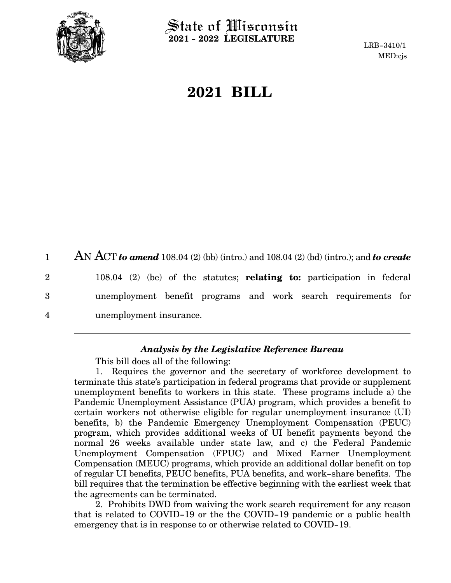

 $\operatorname{\mathsf{State}}$  of Wisconsin **2021 - 2022 LEGISLATURE**

LRB-3410/1 MED:cjs

# **2021 BILL**

AN ACT *to amend* 108.04 (2) (bb) (intro.) and 108.04 (2) (bd) (intro.); and *to create* 108.04 (2) (be) of the statutes; **relating to:** participation in federal unemployment benefit programs and work search requirements for unemployment insurance. 1 2 3 4

#### *Analysis by the Legislative Reference Bureau*

This bill does all of the following:

1. Requires the governor and the secretary of workforce development to terminate this state's participation in federal programs that provide or supplement unemployment benefits to workers in this state. These programs include a) the Pandemic Unemployment Assistance (PUA) program, which provides a benefit to certain workers not otherwise eligible for regular unemployment insurance (UI) benefits, b) the Pandemic Emergency Unemployment Compensation (PEUC) program, which provides additional weeks of UI benefit payments beyond the normal 26 weeks available under state law, and c) the Federal Pandemic Unemployment Compensation (FPUC) and Mixed Earner Unemployment Compensation (MEUC) programs, which provide an additional dollar benefit on top of regular UI benefits, PEUC benefits, PUA benefits, and work-share benefits. The bill requires that the termination be effective beginning with the earliest week that the agreements can be terminated.

2. Prohibits DWD from waiving the work search requirement for any reason that is related to COVID-19 or the the COVID-19 pandemic or a public health emergency that is in response to or otherwise related to COVID-19.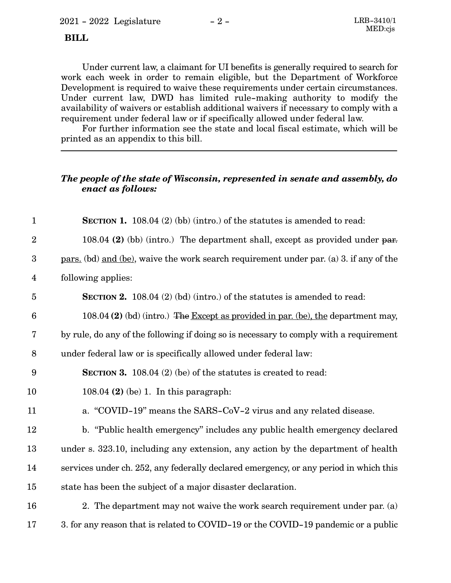#### **BILL**

Under current law, a claimant for UI benefits is generally required to search for work each week in order to remain eligible, but the Department of Workforce Development is required to waive these requirements under certain circumstances. Under current law, DWD has limited rule-making authority to modify the availability of waivers or establish additional waivers if necessary to comply with a requirement under federal law or if specifically allowed under federal law.

For further information see the state and local fiscal estimate, which will be printed as an appendix to this bill.

### *The people of the state of Wisconsin, represented in senate and assembly, do enact as follows:*

| $\mathbf{1}$     | <b>SECTION 1.</b> 108.04 $(2)$ (bb) (intro.) of the statutes is amended to read:       |
|------------------|----------------------------------------------------------------------------------------|
| $\overline{2}$   | 108.04 $(2)$ (bb) (intro.) The department shall, except as provided under par.         |
| $\boldsymbol{3}$ | pars. (bd) and (be), waive the work search requirement under par. (a) 3. if any of the |
| $\overline{4}$   | following applies:                                                                     |
| $\overline{5}$   | <b>SECTION 2.</b> 108.04 (2) (bd) (intro.) of the statutes is amended to read:         |
| $6\phantom{1}6$  | 108.04 (2) (bd) (intro.) The Except as provided in par. (be), the department may,      |
| $\bf 7$          | by rule, do any of the following if doing so is necessary to comply with a requirement |
| 8                | under federal law or is specifically allowed under federal law:                        |
| 9                | <b>SECTION 3.</b> 108.04 (2) (be) of the statutes is created to read:                  |
| 10               | $108.04$ (2) (be) 1. In this paragraph:                                                |
| 11               | a. "COVID-19" means the SARS-CoV-2 virus and any related disease.                      |
| 12               | b. "Public health emergency" includes any public health emergency declared             |
| 13               | under s. 323.10, including any extension, any action by the department of health       |
| 14               | services under ch. 252, any federally declared emergency, or any period in which this  |
| 15               | state has been the subject of a major disaster declaration.                            |
| 16               | 2. The department may not waive the work search requirement under par. (a)             |
| 17               | 3. for any reason that is related to COVID-19 or the COVID-19 pandemic or a public     |